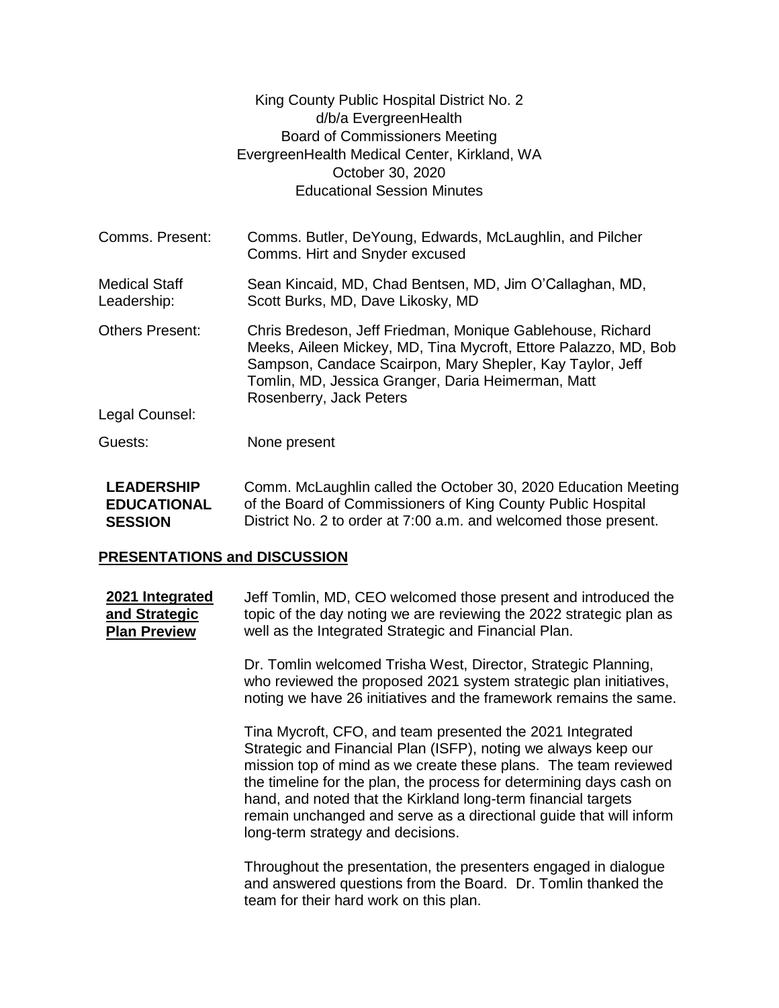|                                     | King County Public Hospital District No. 2<br>d/b/a EvergreenHealth<br><b>Board of Commissioners Meeting</b><br>EvergreenHealth Medical Center, Kirkland, WA<br>October 30, 2020<br><b>Educational Session Minutes</b>                                                      |  |
|-------------------------------------|-----------------------------------------------------------------------------------------------------------------------------------------------------------------------------------------------------------------------------------------------------------------------------|--|
| Comms. Present:                     | Comms. Butler, DeYoung, Edwards, McLaughlin, and Pilcher<br>Comms. Hirt and Snyder excused                                                                                                                                                                                  |  |
| <b>Medical Staff</b><br>Leadership: | Sean Kincaid, MD, Chad Bentsen, MD, Jim O'Callaghan, MD,<br>Scott Burks, MD, Dave Likosky, MD                                                                                                                                                                               |  |
| <b>Others Present:</b>              | Chris Bredeson, Jeff Friedman, Monique Gablehouse, Richard<br>Meeks, Aileen Mickey, MD, Tina Mycroft, Ettore Palazzo, MD, Bob<br>Sampson, Candace Scairpon, Mary Shepler, Kay Taylor, Jeff<br>Tomlin, MD, Jessica Granger, Daria Heimerman, Matt<br>Rosenberry, Jack Peters |  |
| Legal Counsel:                      |                                                                                                                                                                                                                                                                             |  |
| Guests:                             | None present                                                                                                                                                                                                                                                                |  |

**LEADERSHIP EDUCATIONAL SESSION** Comm. McLaughlin called the October 30, 2020 Education Meeting of the Board of Commissioners of King County Public Hospital District No. 2 to order at 7:00 a.m. and welcomed those present.

## **PRESENTATIONS and DISCUSSION**

**2021 Integrated and Strategic Plan Preview** Jeff Tomlin, MD, CEO welcomed those present and introduced the topic of the day noting we are reviewing the 2022 strategic plan as well as the Integrated Strategic and Financial Plan.

> Dr. Tomlin welcomed Trisha West, Director, Strategic Planning, who reviewed the proposed 2021 system strategic plan initiatives, noting we have 26 initiatives and the framework remains the same.

> Tina Mycroft, CFO, and team presented the 2021 Integrated Strategic and Financial Plan (ISFP), noting we always keep our mission top of mind as we create these plans. The team reviewed the timeline for the plan, the process for determining days cash on hand, and noted that the Kirkland long-term financial targets remain unchanged and serve as a directional guide that will inform long-term strategy and decisions.

Throughout the presentation, the presenters engaged in dialogue and answered questions from the Board. Dr. Tomlin thanked the team for their hard work on this plan.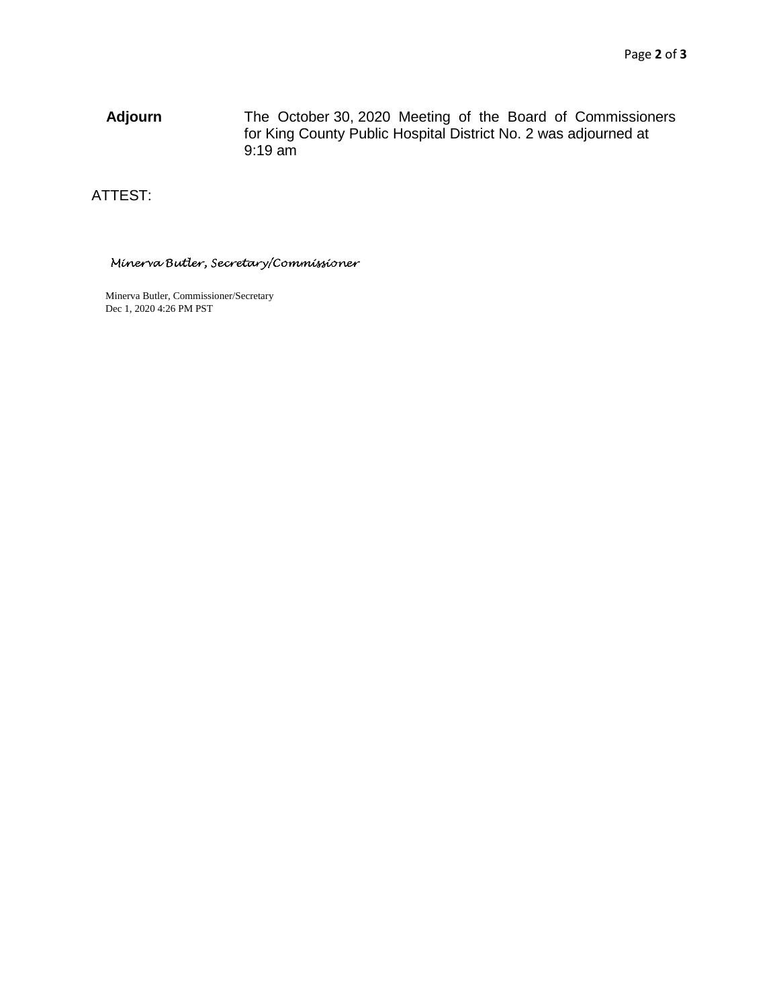**Adjourn** The October 30, 2020 Meeting of the Board of Commissioners for King County Public Hospital District No. 2 was adjourned at 9:19 am

ATTEST:

Minerva Butler, Secretary/Commissioner

Minerva Butler, Commissioner/Secretary Dec 1, 2020 4:26 PM PST